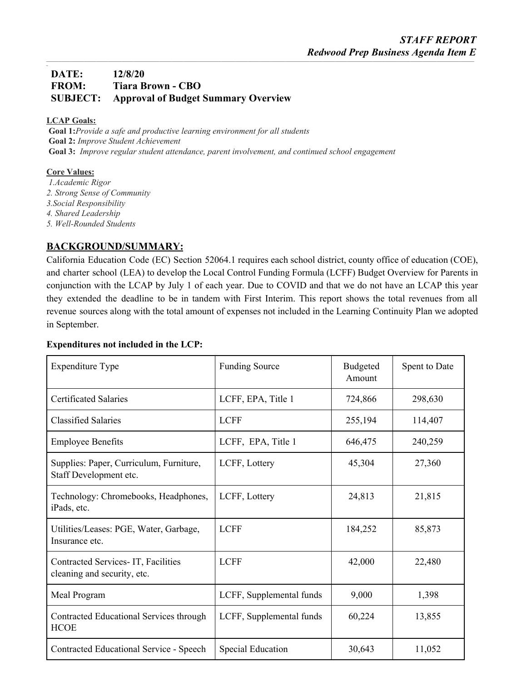## **DATE: 12/8/20 FROM: Tiara Brown - CBO SUBJECT: Approval of Budget Summary Overview**

### **LCAP Goals:**

*\_*

**Goal 1:***Provide a safe and productive learning environment for all students* **Goal 2:** *Improve Student Achievement* **Goal 3:** *Improve regular student attendance, parent involvement, and continued school engagement*

#### **Core Values:**

*1.Academic Rigor 2. Strong Sense of Community 3.Social Responsibility 4. Shared Leadership 5. Well-Rounded Students*

## **BACKGROUND/SUMMARY:**

California Education Code (EC) Section 52064.1 requires each school district, county office of education (COE), and charter school (LEA) to develop the Local Control Funding Formula (LCFF) Budget Overview for Parents in conjunction with the LCAP by July 1 of each year. Due to COVID and that we do not have an LCAP this year they extended the deadline to be in tandem with First Interim. This report shows the total revenues from all revenue sources along with the total amount of expenses not included in the Learning Continuity Plan we adopted in September.

### **Expenditures not included in the LCP:**

| <b>Expenditure Type</b>                                           | <b>Funding Source</b>    | <b>Budgeted</b><br>Amount | Spent to Date |
|-------------------------------------------------------------------|--------------------------|---------------------------|---------------|
| <b>Certificated Salaries</b>                                      | LCFF, EPA, Title 1       | 724,866                   | 298,630       |
| <b>Classified Salaries</b>                                        | <b>LCFF</b>              | 255,194                   | 114,407       |
| <b>Employee Benefits</b>                                          | LCFF, EPA, Title 1       | 646,475                   | 240,259       |
| Supplies: Paper, Curriculum, Furniture,<br>Staff Development etc. | LCFF, Lottery            | 45,304                    | 27,360        |
| Technology: Chromebooks, Headphones,<br>iPads, etc.               | LCFF, Lottery            | 24,813                    | 21,815        |
| Utilities/Leases: PGE, Water, Garbage,<br>Insurance etc.          | <b>LCFF</b>              | 184,252                   | 85,873        |
| Contracted Services-IT, Facilities<br>cleaning and security, etc. | <b>LCFF</b>              | 42,000                    | 22,480        |
| Meal Program                                                      | LCFF, Supplemental funds | 9,000                     | 1,398         |
| Contracted Educational Services through<br><b>HCOE</b>            | LCFF, Supplemental funds | 60,224                    | 13,855        |
| <b>Contracted Educational Service - Speech</b>                    | Special Education        | 30,643                    | 11,052        |